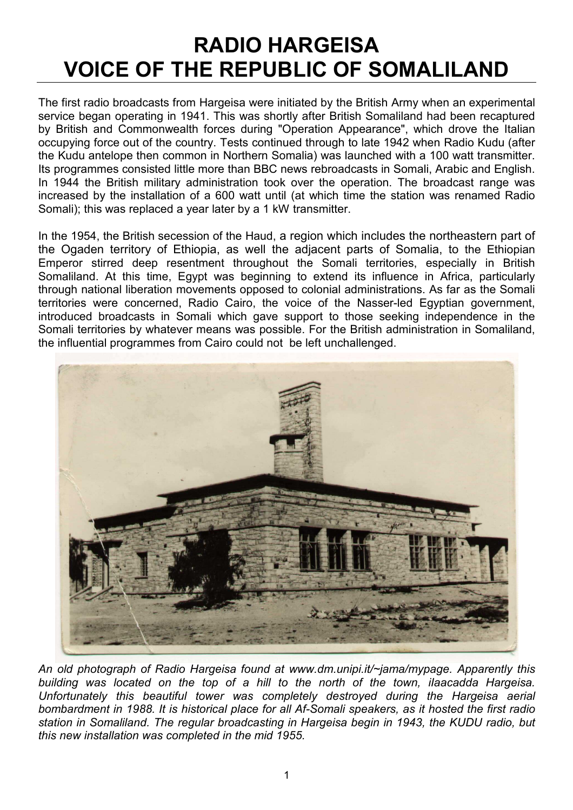## RADIO HARGEISA VOICE OF THE REPUBLIC OF SOMALILAND

The first radio broadcasts from Hargeisa were initiated by the British Army when an experimental service began operating in 1941. This was shortly after British Somaliland had been recaptured by British and Commonwealth forces during "Operation Appearance", which drove the Italian occupying force out of the country. Tests continued through to late 1942 when Radio Kudu (after the Kudu antelope then common in Northern Somalia) was launched with a 100 watt transmitter. Its programmes consisted little more than BBC news rebroadcasts in Somali, Arabic and English. In 1944 the British military administration took over the operation. The broadcast range was increased by the installation of a 600 watt until (at which time the station was renamed Radio Somali); this was replaced a year later by a 1 kW transmitter.

In the 1954, the British secession of the Haud, a region which includes the northeastern part of the Ogaden territory of Ethiopia, as well the adjacent parts of Somalia, to the Ethiopian Emperor stirred deep resentment throughout the Somali territories, especially in British Somaliland. At this time, Egypt was beginning to extend its influence in Africa, particularly through national liberation movements opposed to colonial administrations. As far as the Somali territories were concerned, Radio Cairo, the voice of the Nasser-led Egyptian government, introduced broadcasts in Somali which gave support to those seeking independence in the Somali territories by whatever means was possible. For the British administration in Somaliland, the influential programmes from Cairo could not be left unchallenged.



An old photograph of Radio Hargeisa found at www.dm.unipi.it/~jama/mypage. Apparently this building was located on the top of a hill to the north of the town, iIaacadda Hargeisa. Unfortunately this beautiful tower was completely destroyed during the Hargeisa aerial bombardment in 1988. It is historical place for all Af-Somali speakers, as it hosted the first radio station in Somaliland. The regular broadcasting in Hargeisa begin in 1943, the KUDU radio, but this new installation was completed in the mid 1955.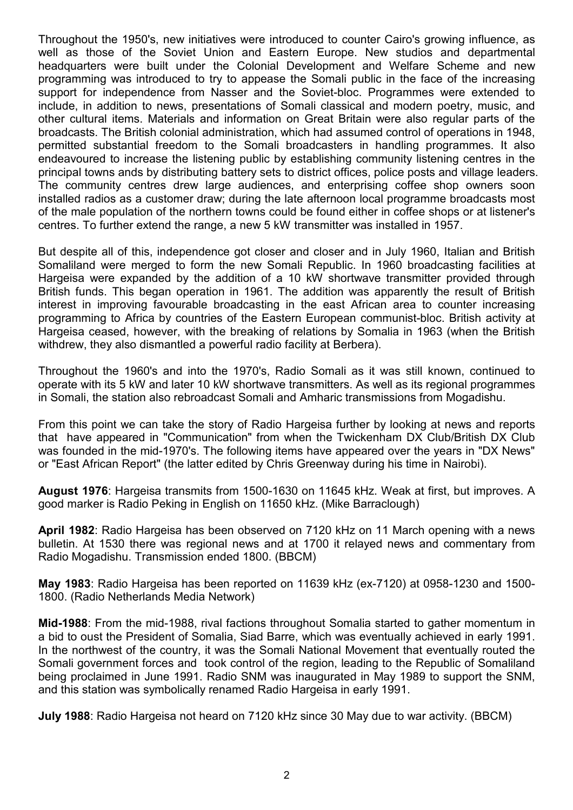Throughout the 1950's, new initiatives were introduced to counter Cairo's growing influence, as well as those of the Soviet Union and Eastern Europe. New studios and departmental headquarters were built under the Colonial Development and Welfare Scheme and new programming was introduced to try to appease the Somali public in the face of the increasing support for independence from Nasser and the Soviet-bloc. Programmes were extended to include, in addition to news, presentations of Somali classical and modern poetry, music, and other cultural items. Materials and information on Great Britain were also regular parts of the broadcasts. The British colonial administration, which had assumed control of operations in 1948, permitted substantial freedom to the Somali broadcasters in handling programmes. It also endeavoured to increase the listening public by establishing community listening centres in the principal towns ands by distributing battery sets to district offices, police posts and village leaders. The community centres drew large audiences, and enterprising coffee shop owners soon installed radios as a customer draw; during the late afternoon local programme broadcasts most of the male population of the northern towns could be found either in coffee shops or at listener's centres. To further extend the range, a new 5 kW transmitter was installed in 1957.

But despite all of this, independence got closer and closer and in July 1960, Italian and British Somaliland were merged to form the new Somali Republic. In 1960 broadcasting facilities at Hargeisa were expanded by the addition of a 10 kW shortwave transmitter provided through British funds. This began operation in 1961. The addition was apparently the result of British interest in improving favourable broadcasting in the east African area to counter increasing programming to Africa by countries of the Eastern European communist-bloc. British activity at Hargeisa ceased, however, with the breaking of relations by Somalia in 1963 (when the British withdrew, they also dismantled a powerful radio facility at Berbera).

Throughout the 1960's and into the 1970's, Radio Somali as it was still known, continued to operate with its 5 kW and later 10 kW shortwave transmitters. As well as its regional programmes in Somali, the station also rebroadcast Somali and Amharic transmissions from Mogadishu.

From this point we can take the story of Radio Hargeisa further by looking at news and reports that have appeared in "Communication" from when the Twickenham DX Club/British DX Club was founded in the mid-1970's. The following items have appeared over the years in "DX News" or "East African Report" (the latter edited by Chris Greenway during his time in Nairobi).

August 1976: Hargeisa transmits from 1500-1630 on 11645 kHz. Weak at first, but improves. A good marker is Radio Peking in English on 11650 kHz. (Mike Barraclough)

April 1982: Radio Hargeisa has been observed on 7120 kHz on 11 March opening with a news bulletin. At 1530 there was regional news and at 1700 it relayed news and commentary from Radio Mogadishu. Transmission ended 1800. (BBCM)

May 1983: Radio Hargeisa has been reported on 11639 kHz (ex-7120) at 0958-1230 and 1500- 1800. (Radio Netherlands Media Network)

Mid-1988: From the mid-1988, rival factions throughout Somalia started to gather momentum in a bid to oust the President of Somalia, Siad Barre, which was eventually achieved in early 1991. In the northwest of the country, it was the Somali National Movement that eventually routed the Somali government forces and took control of the region, leading to the Republic of Somaliland being proclaimed in June 1991. Radio SNM was inaugurated in May 1989 to support the SNM, and this station was symbolically renamed Radio Hargeisa in early 1991.

July 1988: Radio Hargeisa not heard on 7120 kHz since 30 May due to war activity. (BBCM)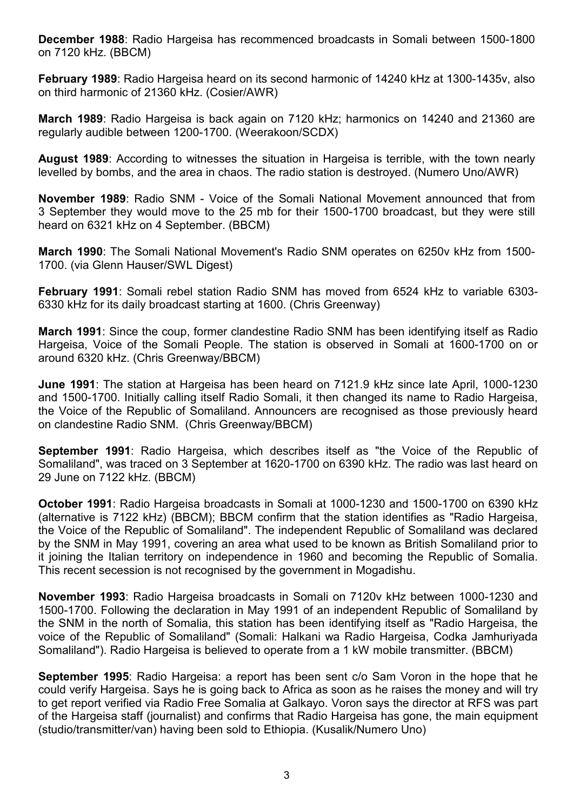December 1988: Radio Hargeisa has recommenced broadcasts in Somali between 1500-1800 on 7120 kHz. (BBCM)

February 1989: Radio Hargeisa heard on its second harmonic of 14240 kHz at 1300-1435v, also on third harmonic of 21360 kHz. (Cosier/AWR)

March 1989: Radio Hargeisa is back again on 7120 kHz; harmonics on 14240 and 21360 are regularly audible between 1200-1700. (Weerakoon/SCDX)

August 1989: According to witnesses the situation in Hargeisa is terrible, with the town nearly levelled by bombs, and the area in chaos. The radio station is destroyed. (Numero Uno/AWR)

November 1989: Radio SNM - Voice of the Somali National Movement announced that from 3 September they would move to the 25 mb for their 1500-1700 broadcast, but they were still heard on 6321 kHz on 4 September. (BBCM)

March 1990: The Somali National Movement's Radio SNM operates on 6250v kHz from 1500- 1700. (via Glenn Hauser/SWL Digest)

February 1991: Somali rebel station Radio SNM has moved from 6524 kHz to variable 6303- 6330 kHz for its daily broadcast starting at 1600. (Chris Greenway)

March 1991: Since the coup, former clandestine Radio SNM has been identifying itself as Radio Hargeisa, Voice of the Somali People. The station is observed in Somali at 1600-1700 on or around 6320 kHz. (Chris Greenway/BBCM)

June 1991: The station at Hargeisa has been heard on 7121.9 kHz since late April, 1000-1230 and 1500-1700. Initially calling itself Radio Somali, it then changed its name to Radio Hargeisa, the Voice of the Republic of Somaliland. Announcers are recognised as those previously heard on clandestine Radio SNM. (Chris Greenway/BBCM)

September 1991: Radio Hargeisa, which describes itself as "the Voice of the Republic of Somaliland", was traced on 3 September at 1620-1700 on 6390 kHz. The radio was last heard on 29 June on 7122 kHz. (BBCM)

October 1991: Radio Hargeisa broadcasts in Somali at 1000-1230 and 1500-1700 on 6390 kHz (alternative is 7122 kHz) (BBCM); BBCM confirm that the station identifies as "Radio Hargeisa, the Voice of the Republic of Somaliland". The independent Republic of Somaliland was declared by the SNM in May 1991, covering an area what used to be known as British Somaliland prior to it joining the Italian territory on independence in 1960 and becoming the Republic of Somalia. This recent secession is not recognised by the government in Mogadishu.

November 1993: Radio Hargeisa broadcasts in Somali on 7120v kHz between 1000-1230 and 1500-1700. Following the declaration in May 1991 of an independent Republic of Somaliland by the SNM in the north of Somalia, this station has been identifying itself as "Radio Hargeisa, the voice of the Republic of Somaliland" (Somali: Halkani wa Radio Hargeisa, Codka Jamhuriyada Somaliland"). Radio Hargeisa is believed to operate from a 1 kW mobile transmitter. (BBCM)

September 1995: Radio Hargeisa: a report has been sent c/o Sam Voron in the hope that he could verify Hargeisa. Says he is going back to Africa as soon as he raises the money and will try to get report verified via Radio Free Somalia at Galkayo. Voron says the director at RFS was part of the Hargeisa staff (journalist) and confirms that Radio Hargeisa has gone, the main equipment (studio/transmitter/van) having been sold to Ethiopia. (Kusalik/Numero Uno)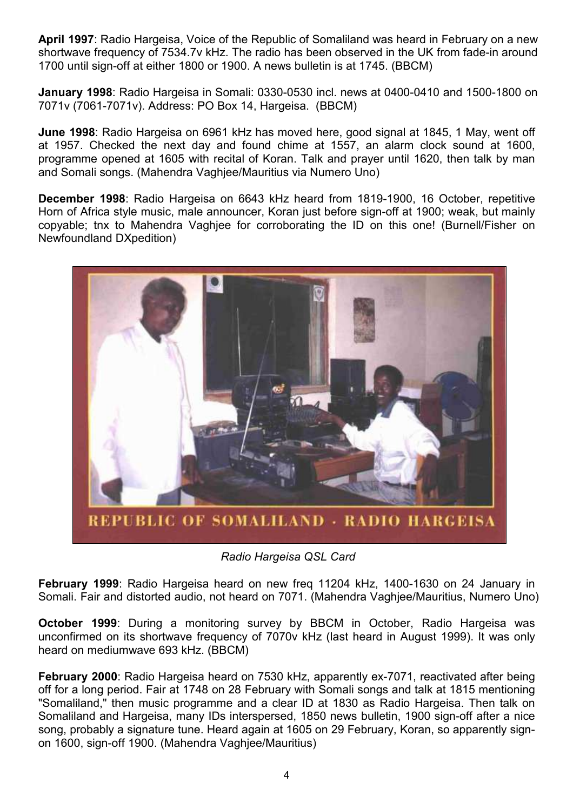April 1997: Radio Hargeisa, Voice of the Republic of Somaliland was heard in February on a new shortwave frequency of 7534.7v kHz. The radio has been observed in the UK from fade-in around 1700 until sign-off at either 1800 or 1900. A news bulletin is at 1745. (BBCM)

January 1998: Radio Hargeisa in Somali: 0330-0530 incl. news at 0400-0410 and 1500-1800 on 7071v (7061-7071v). Address: PO Box 14, Hargeisa. (BBCM)

June 1998: Radio Hargeisa on 6961 kHz has moved here, good signal at 1845, 1 May, went off at 1957. Checked the next day and found chime at 1557, an alarm clock sound at 1600, programme opened at 1605 with recital of Koran. Talk and prayer until 1620, then talk by man and Somali songs. (Mahendra Vaghjee/Mauritius via Numero Uno)

December 1998: Radio Hargeisa on 6643 kHz heard from 1819-1900, 16 October, repetitive Horn of Africa style music, male announcer, Koran just before sign-off at 1900; weak, but mainly copyable; tnx to Mahendra Vaghjee for corroborating the ID on this one! (Burnell/Fisher on Newfoundland DXpedition)



Radio Hargeisa QSL Card

February 1999: Radio Hargeisa heard on new freq 11204 kHz, 1400-1630 on 24 January in Somali. Fair and distorted audio, not heard on 7071. (Mahendra Vaghjee/Mauritius, Numero Uno)

October 1999: During a monitoring survey by BBCM in October, Radio Hargeisa was unconfirmed on its shortwave frequency of 7070v kHz (last heard in August 1999). It was only heard on mediumwave 693 kHz. (BBCM)

February 2000: Radio Hargeisa heard on 7530 kHz, apparently ex-7071, reactivated after being off for a long period. Fair at 1748 on 28 February with Somali songs and talk at 1815 mentioning "Somaliland," then music programme and a clear ID at 1830 as Radio Hargeisa. Then talk on Somaliland and Hargeisa, many IDs interspersed, 1850 news bulletin, 1900 sign-off after a nice song, probably a signature tune. Heard again at 1605 on 29 February, Koran, so apparently signon 1600, sign-off 1900. (Mahendra Vaghjee/Mauritius)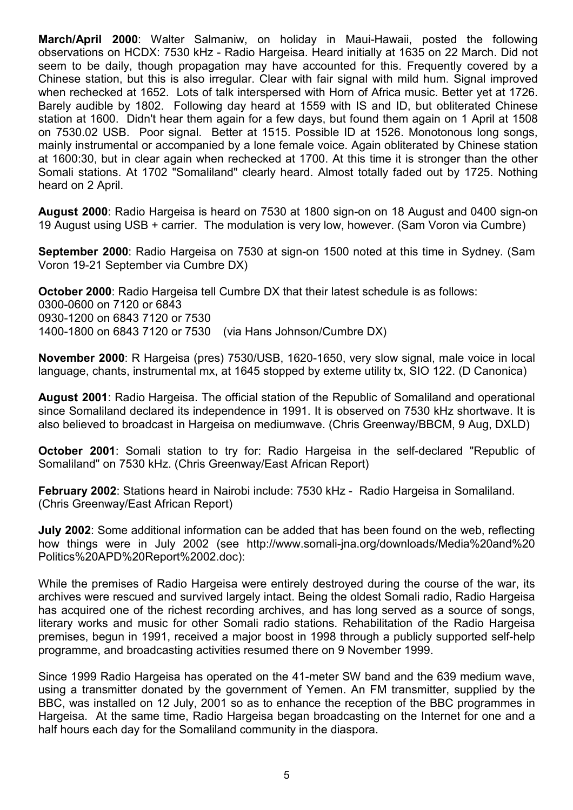March/April 2000: Walter Salmaniw, on holiday in Maui-Hawaii, posted the following observations on HCDX: 7530 kHz - Radio Hargeisa. Heard initially at 1635 on 22 March. Did not seem to be daily, though propagation may have accounted for this. Frequently covered by a Chinese station, but this is also irregular. Clear with fair signal with mild hum. Signal improved when rechecked at 1652. Lots of talk interspersed with Horn of Africa music. Better yet at 1726. Barely audible by 1802. Following day heard at 1559 with IS and ID, but obliterated Chinese station at 1600. Didn't hear them again for a few days, but found them again on 1 April at 1508 on 7530.02 USB. Poor signal. Better at 1515. Possible ID at 1526. Monotonous long songs, mainly instrumental or accompanied by a lone female voice. Again obliterated by Chinese station at 1600:30, but in clear again when rechecked at 1700. At this time it is stronger than the other Somali stations. At 1702 "Somaliland" clearly heard. Almost totally faded out by 1725. Nothing heard on 2 April.

August 2000: Radio Hargeisa is heard on 7530 at 1800 sign-on on 18 August and 0400 sign-on 19 August using USB + carrier. The modulation is very low, however. (Sam Voron via Cumbre)

September 2000: Radio Hargeisa on 7530 at sign-on 1500 noted at this time in Sydney. (Sam Voron 19-21 September via Cumbre DX)

October 2000: Radio Hargeisa tell Cumbre DX that their latest schedule is as follows: 0300-0600 on 7120 or 6843 0930-1200 on 6843 7120 or 7530 1400-1800 on 6843 7120 or 7530 (via Hans Johnson/Cumbre DX)

November 2000: R Hargeisa (pres) 7530/USB, 1620-1650, very slow signal, male voice in local language, chants, instrumental mx, at 1645 stopped by exteme utility tx, SIO 122. (D Canonica)

August 2001: Radio Hargeisa. The official station of the Republic of Somaliland and operational since Somaliland declared its independence in 1991. It is observed on 7530 kHz shortwave. It is also believed to broadcast in Hargeisa on mediumwave. (Chris Greenway/BBCM, 9 Aug, DXLD)

October 2001: Somali station to try for: Radio Hargeisa in the self-declared "Republic of Somaliland" on 7530 kHz. (Chris Greenway/East African Report)

February 2002: Stations heard in Nairobi include: 7530 kHz - Radio Hargeisa in Somaliland. (Chris Greenway/East African Report)

July 2002: Some additional information can be added that has been found on the web, reflecting how things were in July 2002 (see http://www.somali-jna.org/downloads/Media%20and%20 Politics%20APD%20Report%2002.doc):

While the premises of Radio Hargeisa were entirely destroyed during the course of the war, its archives were rescued and survived largely intact. Being the oldest Somali radio, Radio Hargeisa has acquired one of the richest recording archives, and has long served as a source of songs, literary works and music for other Somali radio stations. Rehabilitation of the Radio Hargeisa premises, begun in 1991, received a major boost in 1998 through a publicly supported self-help programme, and broadcasting activities resumed there on 9 November 1999.

Since 1999 Radio Hargeisa has operated on the 41-meter SW band and the 639 medium wave, using a transmitter donated by the government of Yemen. An FM transmitter, supplied by the BBC, was installed on 12 July, 2001 so as to enhance the reception of the BBC programmes in Hargeisa. At the same time, Radio Hargeisa began broadcasting on the Internet for one and a half hours each day for the Somaliland community in the diaspora.